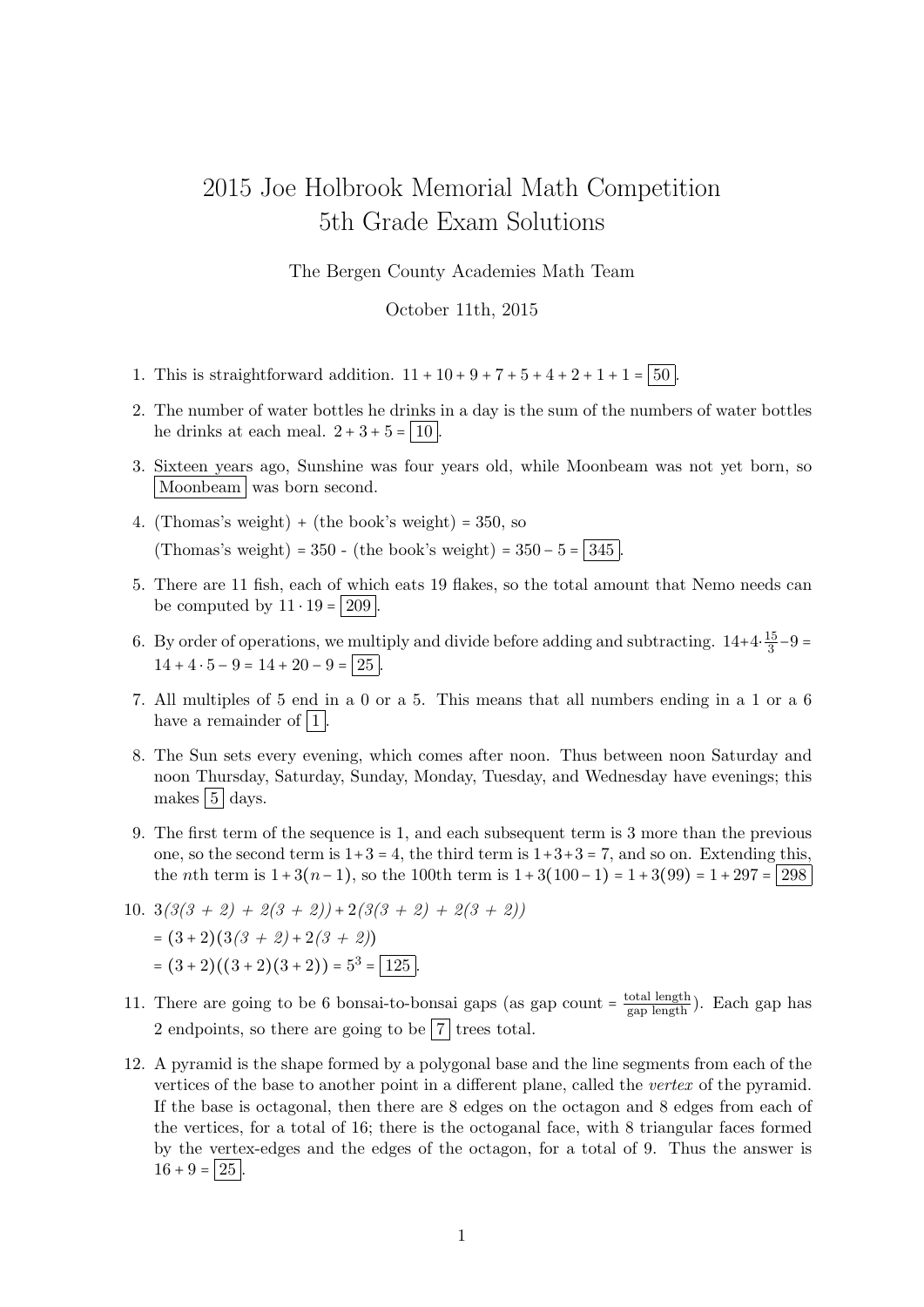## 2015 Joe Holbrook Memorial Math Competition 5th Grade Exam Solutions

The Bergen County Academies Math Team

October 11th, 2015

- 1. This is straightforward addition.  $11 + 10 + 9 + 7 + 5 + 4 + 2 + 1 + 1 = |50|$
- 2. The number of water bottles he drinks in a day is the sum of the numbers of water bottles he drinks at each meal.  $2 + 3 + 5 = |10|$ .
- 3. Sixteen years ago, Sunshine was four years old, while Moonbeam was not yet born, so Moonbeam was born second.
- 4. (Thomas's weight) + (the book's weight) =  $350$ , so (Thomas's weight) = 350 - (the book's weight) =  $350 - 5 = |345|$
- 5. There are 11 fish, each of which eats 19 flakes, so the total amount that Nemo needs can be computed by  $11 \cdot 19 = 209$ .
- 6. By order of operations, we multiply and divide before adding and subtracting.  $14+4\cdot\frac{15}{3}$  $\frac{15}{3} - 9 =$  $14 + 4 \cdot 5 - 9 = 14 + 20 - 9 = 25$
- 7. All multiples of 5 end in a 0 or a 5. This means that all numbers ending in a 1 or a 6 have a remainder of  $|1|$ .
- 8. The Sun sets every evening, which comes after noon. Thus between noon Saturday and noon Thursday, Saturday, Sunday, Monday, Tuesday, and Wednesday have evenings; this makes  $5 \vert \text{days}$ .
- 9. The first term of the sequence is 1, and each subsequent term is 3 more than the previous one, so the second term is  $1+3=4$ , the third term is  $1+3+3=7$ , and so on. Extending this, the *n*th term is  $1 + 3(n-1)$ , so the 100th term is  $1 + 3(100-1) = 1 + 3(99) = 1 + 297 = |298|$
- 10.  $3(3(3 + 2) + 2(3 + 2)) + 2(3(3 + 2) + 2(3 + 2))$  $=(3+2)(3(3+2)+2(3+2))$  $=(3+2)((3+2)(3+2)) = 5^3 = 125.$
- 11. There are going to be 6 bonsai-to-bonsai gaps (as gap count  $=\frac{\text{total length}}{\text{gap length}}$ ). Each gap has 2 endpoints, so there are going to be  $\boxed{7}$  trees total.
- 12. A pyramid is the shape formed by a polygonal base and the line segments from each of the vertices of the base to another point in a different plane, called the vertex of the pyramid. If the base is octagonal, then there are 8 edges on the octagon and 8 edges from each of the vertices, for a total of 16; there is the octoganal face, with 8 triangular faces formed by the vertex-edges and the edges of the octagon, for a total of 9. Thus the answer is  $16 + 9 = 25$ .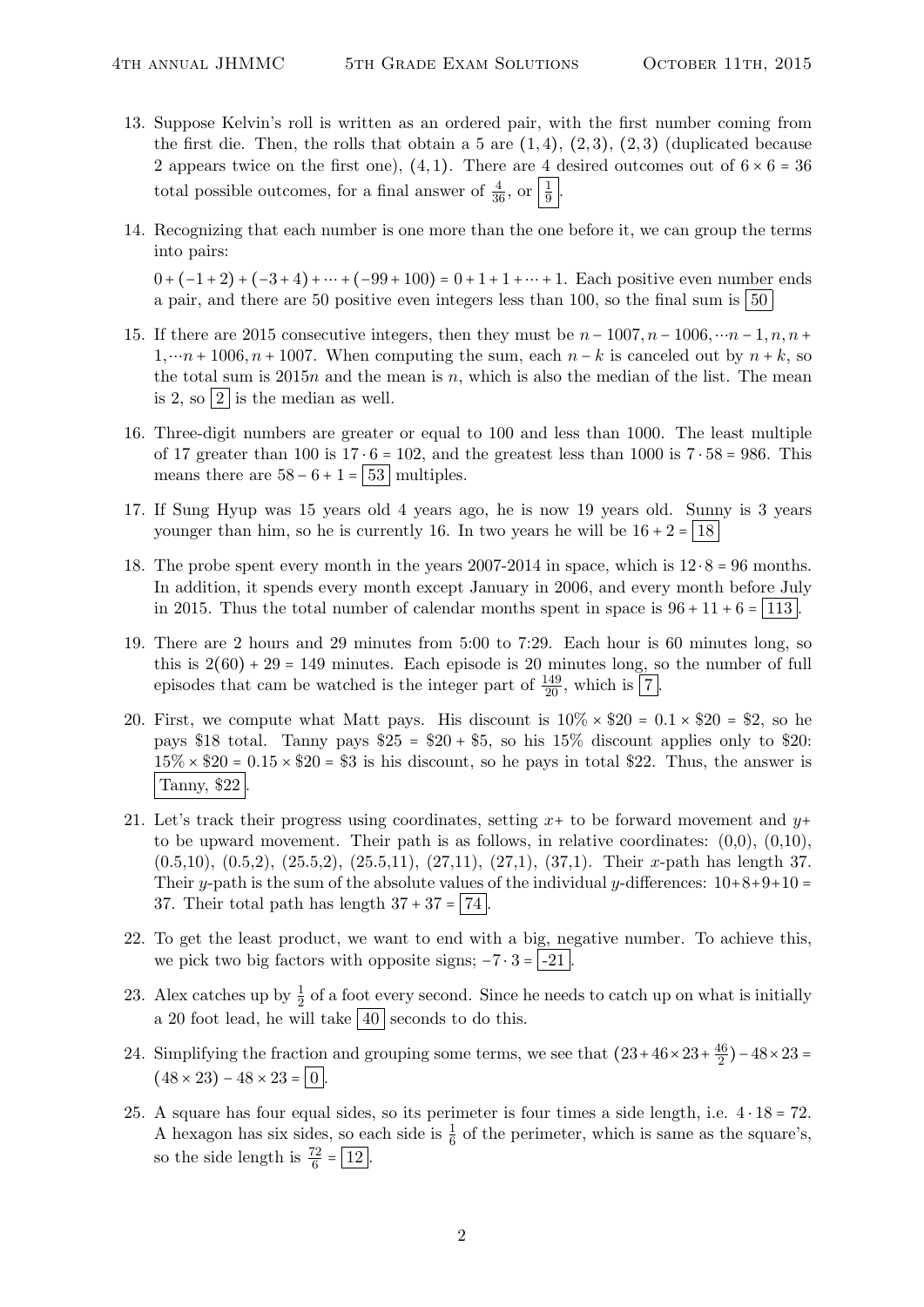- 13. Suppose Kelvin's roll is written as an ordered pair, with the first number coming from the first die. Then, the rolls that obtain a 5 are  $(1,4)$ ,  $(2,3)$ ,  $(2,3)$  (duplicated because 2 appears twice on the first one), (4,1). There are 4 desired outcomes out of  $6 \times 6 = 36$ total possible outcomes, for a final answer of  $\frac{4}{36}$ , or  $\frac{1}{9}$ .
- 14. Recognizing that each number is one more than the one before it, we can group the terms into pairs:

 $0 + (-1 + 2) + (-3 + 4) + \cdots + (-99 + 100) = 0 + 1 + 1 + \cdots + 1$ . Each positive even number ends a pair, and there are 50 positive even integers less than 100, so the final sum is  $\vert 50 \rangle$ 

- 15. If there are 2015 consecutive integers, then they must be  $n 1007$ ,  $n 1006$ , … $n 1$ ,  $n, n +$  $1, \dots n + 1006, n + 1007$ . When computing the sum, each  $n - k$  is canceled out by  $n + k$ , so the total sum is  $2015n$  and the mean is n, which is also the median of the list. The mean is 2, so  $|2|$  is the median as well.
- 16. Three-digit numbers are greater or equal to 100 and less than 1000. The least multiple of 17 greater than 100 is  $17 \cdot 6 = 102$ , and the greatest less than 1000 is  $7 \cdot 58 = 986$ . This means there are  $58 - 6 + 1 = 53$  multiples.
- 17. If Sung Hyup was 15 years old 4 years ago, he is now 19 years old. Sunny is 3 years younger than him, so he is currently 16. In two years he will be  $16 + 2 = 18$
- 18. The probe spent every month in the years 2007-2014 in space, which is  $12 \cdot 8 = 96$  months. In addition, it spends every month except January in 2006, and every month before July in 2015. Thus the total number of calendar months spent in space is  $96 + 11 + 6 = 113$ .
- 19. There are 2 hours and 29 minutes from 5:00 to 7:29. Each hour is 60 minutes long, so this is  $2(60) + 29 = 149$  minutes. Each episode is 20 minutes long, so the number of full episodes that cam be watched is the integer part of  $\frac{149}{20}$ , which is  $\boxed{7}$ .
- 20. First, we compute what Matt pays. His discount is  $10\% \times $20 = 0.1 \times $20 = $2$ , so he pays \$18 total. Tanny pays  $$25 = $20 + $5$ , so his  $15\%$  discount applies only to \$20:  $15\% \times $20 = 0.15 \times $20 = $3$  is his discount, so he pays in total \$22. Thus, the answer is Tanny, \$22.
- 21. Let's track their progress using coordinates, setting  $x+$  to be forward movement and  $y+$ to be upward movement. Their path is as follows, in relative coordinates:  $(0,0)$ ,  $(0,10)$ , (0.5,10), (0.5,2), (25.5,2), (25.5,11), (27,11), (27,1), (37,1). Their x-path has length 37. Their y-path is the sum of the absolute values of the individual y-differences:  $10+8+9+10 =$ 37. Their total path has length  $37 + 37 = |74|$
- 22. To get the least product, we want to end with a big, negative number. To achieve this, we pick two big factors with opposite signs;  $-7 \cdot 3 = -21$ .
- 23. Alex catches up by  $\frac{1}{2}$  of a foot every second. Since he needs to catch up on what is initially a 20 foot lead, he will take  $\sqrt{40}$  seconds to do this.
- 24. Simplifying the fraction and grouping some terms, we see that  $(23+46\times23+\frac{46}{2})$  $\frac{46}{2}$ ) – 48 × 23 =  $(48 \times 23) - 48 \times 23 = 0$
- 25. A square has four equal sides, so its perimeter is four times a side length, i.e.  $4 \cdot 18 = 72$ . A hexagon has six sides, so each side is  $\frac{1}{6}$  of the perimeter, which is same as the square's, so the side length is  $\frac{72}{6} = \boxed{12}$ .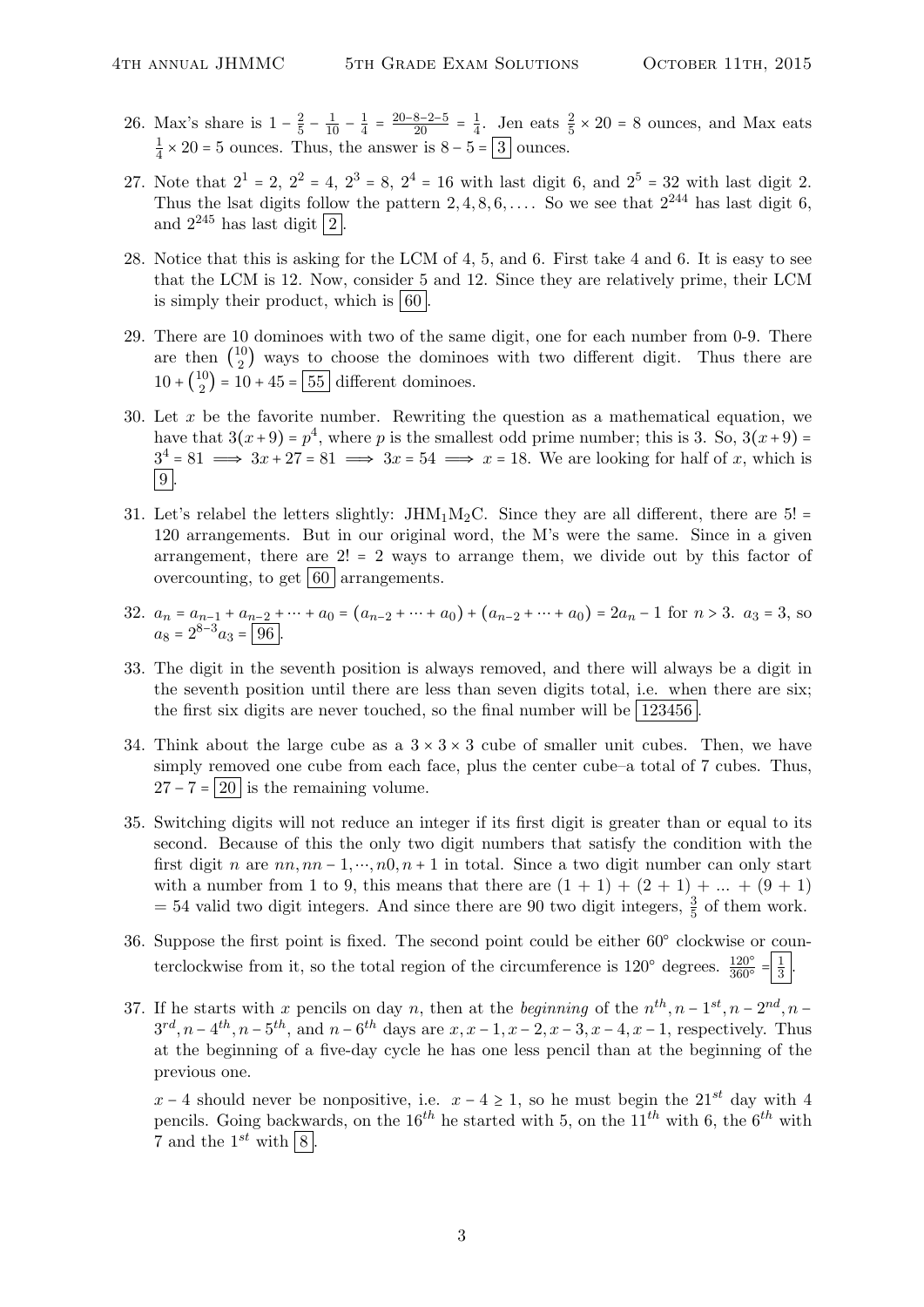- 26. Max's share is  $1-\frac{2}{5}$  $\frac{2}{5} - \frac{1}{10} - \frac{1}{4}$  $\frac{1}{4} = \frac{20 - 8 - 2 - 5}{20} = \frac{1}{4}$  $\frac{1}{4}$ . Jen eats  $\frac{2}{5} \times 20 = 8$  ounces, and Max eats 1  $\frac{1}{4} \times 20 = 5$  ounces. Thus, the answer is  $8 - 5 = 3$  ounces.
- 27. Note that  $2^1 = 2$ ,  $2^2 = 4$ ,  $2^3 = 8$ ,  $2^4 = 16$  with last digit 6, and  $2^5 = 32$  with last digit 2. Thus the lsat digits follow the pattern 2, 4, 8, 6, ... . So we see that  $2^{244}$  has last digit 6. and  $2^{245}$  has last digit  $\boxed{2}$
- 28. Notice that this is asking for the LCM of 4, 5, and 6. First take 4 and 6. It is easy to see that the LCM is 12. Now, consider 5 and 12. Since they are relatively prime, their LCM is simply their product, which is  $\vert 60 \vert$ .
- 29. There are 10 dominoes with two of the same digit, one for each number from 0-9. There are then  $\binom{10}{2}$  $\frac{10}{2}$  ways to choose the dominoes with two different digit. Thus there are  $10 + \binom{10}{2}$  $\binom{10}{2}$  = 10 + 45 = 55 different dominoes.
- 30. Let  $x$  be the favorite number. Rewriting the question as a mathematical equation, we have that  $3(x+9) = p<sup>4</sup>$ , where p is the smallest odd prime number; this is 3. So,  $3(x+9) =$  $3^4 = 81 \implies 3x + 27 = 81 \implies 3x = 54 \implies x = 18$ . We are looking for half of x, which is  $|9|$ .
- 31. Let's relabel the letters slightly:  $JHM_1M_2C$ . Since they are all different, there are 5! = 120 arrangements. But in our original word, the M's were the same. Since in a given arrangement, there are  $2! = 2$  ways to arrange them, we divide out by this factor of overcounting, to get  $\vert 60 \vert$  arrangements.
- 32.  $a_n = a_{n-1} + a_{n-2} + \dots + a_0 = (a_{n-2} + \dots + a_0) + (a_{n-2} + \dots + a_0) = 2a_n 1$  for  $n > 3$ .  $a_3 = 3$ , so  $a_8 = 2^{8-3}a_3 = 96.$
- 33. The digit in the seventh position is always removed, and there will always be a digit in the seventh position until there are less than seven digits total, i.e. when there are six; the first six digits are never touched, so the final number will be  $|123456|$ .
- 34. Think about the large cube as a  $3 \times 3 \times 3$  cube of smaller unit cubes. Then, we have simply removed one cube from each face, plus the center cube–a total of 7 cubes. Thus,  $27 - 7 = 20$  is the remaining volume.
- 35. Switching digits will not reduce an integer if its first digit is greater than or equal to its second. Because of this the only two digit numbers that satisfy the condition with the first digit n are  $nn, nn-1, ..., n0, n+1$  in total. Since a two digit number can only start with a number from 1 to 9, this means that there are  $(1 + 1) + (2 + 1) + ... + (9 + 1)$  $=$  54 valid two digit integers. And since there are 90 two digit integers,  $\frac{3}{5}$  of them work.
- 36. Suppose the first point is fixed. The second point could be either 60○ clockwise or counterclockwise from it, so the total region of the circumference is  $120^{\circ}$  degrees.  $\frac{120^{\circ}}{360^{\circ}} = \frac{1}{3}$  $rac{1}{3}$ .
- 37. If he starts with x pencils on day n, then at the beginning of the  $n^{th}$ ,  $n-1^{st}$ ,  $n-2^{nd}$ ,  $n 3^{rd}, n-4^{th}, n-5^{th}$ , and  $n-6^{th}$  days are  $x, x-1, x-2, x-3, x-4, x-1$ , respectively. Thus at the beginning of a five-day cycle he has one less pencil than at the beginning of the previous one.

 $x - 4$  should never be nonpositive, i.e.  $x - 4 \ge 1$ , so he must begin the 21<sup>st</sup> day with 4 pencils. Going backwards, on the  $16^{th}$  he started with 5, on the  $11^{th}$  with 6, the  $6^{th}$  with 7 and the  $1^{st}$  with  $\boxed{8}$ .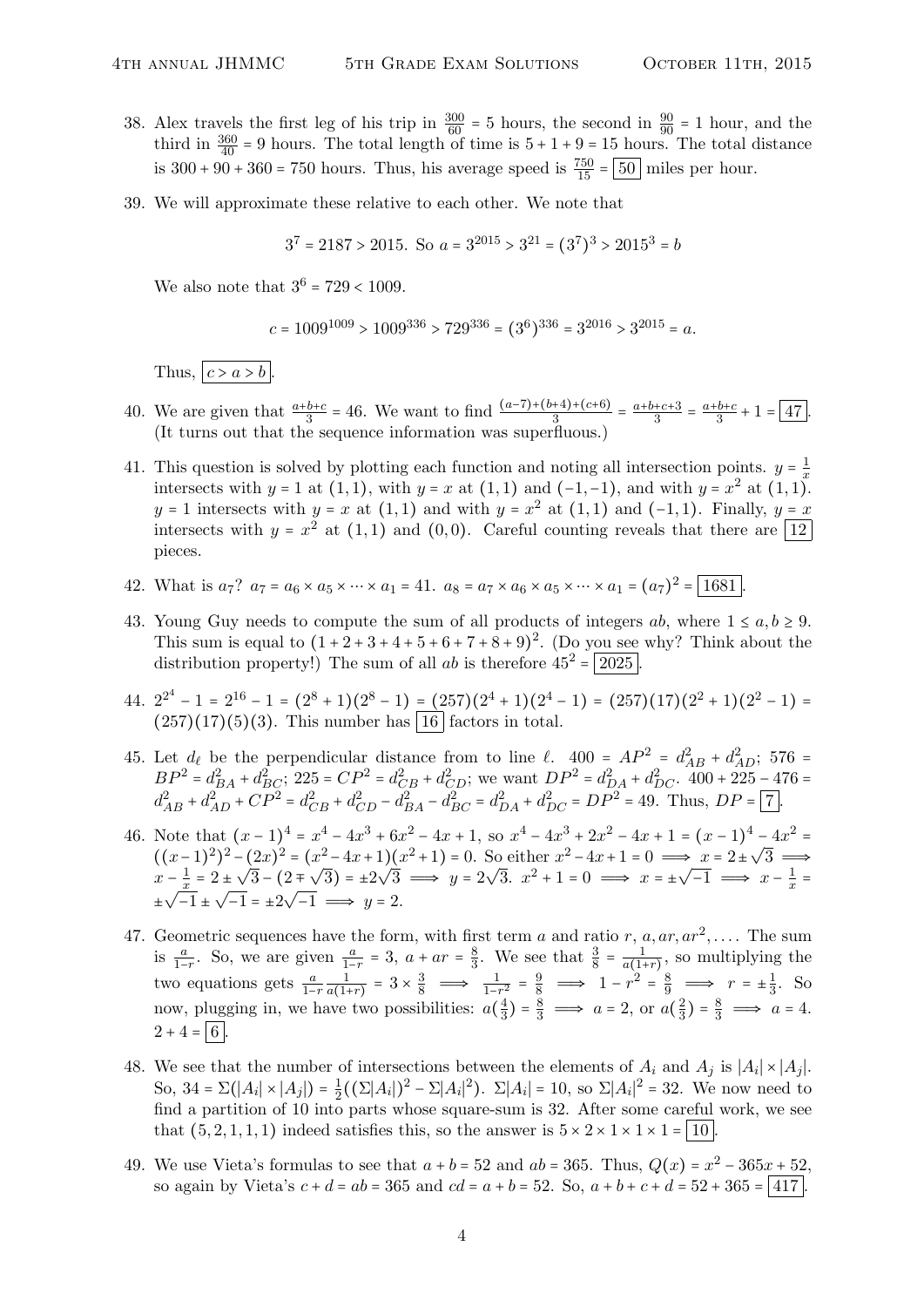- 38. Alex travels the first leg of his trip in  $\frac{300}{60} = 5$  hours, the second in  $\frac{90}{90} = 1$  hour, and the third in  $\frac{360}{40}$  = 9 hours. The total length of time is  $5 + 1 + 9 = 15$  hours. The total distance is  $300 + 90 + 360 = 750$  hours. Thus, his average speed is  $\frac{750}{15} = 50$  miles per hour.
- 39. We will approximate these relative to each other. We note that

$$
3^7 = 2187 > 2015
$$
. So  $a = 3^{2015} > 3^{21} = (3^7)^3 > 2015^3 = b$ 

We also note that  $3^6 = 729 < 1009$ .

$$
c = 1009^{1009} > 1009^{336} > 729^{336} = (3^6)^{336} = 3^{2016} > 3^{2015} = a.
$$

Thus,  $c > a > b$ .

- 40. We are given that  $\frac{a+b+c}{3} = 46$ . We want to find  $\frac{(a-7)+(b+4)+(c+6)}{3} = \frac{a+b+c+3}{3}$  $\frac{+c+3}{3} = \frac{a+b+c}{3}$  $\frac{b+c}{3}+1=\boxed{47}$ . (It turns out that the sequence information was superfluous.)
- 41. This question is solved by plotting each function and noting all intersection points.  $y = \frac{1}{x}$ x intersects with  $y = 1$  at  $(1,1)$ , with  $y = x$  at  $(1,1)$  and  $(-1,-1)$ , and with  $y = x^2$  at  $(1,1)$ .  $y = 1$  intersects with  $y = x$  at  $(1, 1)$  and with  $y = x^2$  at  $(1, 1)$  and  $(-1, 1)$ . Finally,  $y = x$ intersects with  $y = x^2$  at  $(1,1)$  and  $(0,0)$ . Careful counting reveals that there are  $\boxed{12}$ pieces.
- 42. What is  $a_7$ ?  $a_7 = a_6 \times a_5 \times \cdots \times a_1 = 41$ .  $a_8 = a_7 \times a_6 \times a_5 \times \cdots \times a_1 = (a_7)^2 = \boxed{1681}$ .
- 43. Young Guy needs to compute the sum of all products of integers ab, where  $1 \le a, b \ge 9$ . This sum is equal to  $(1 + 2 + 3 + 4 + 5 + 6 + 7 + 8 + 9)^2$ . (Do you see why? Think about the distribution property!) The sum of all ab is therefore  $45^2 = |2025|$
- 44.  $2^{2^4} 1 = 2^{16} 1 = (2^8 + 1)(2^8 1) = (257)(2^4 + 1)(2^4 1) = (257)(17)(2^2 + 1)(2^2 1) =$  $(257)(17)(5)(3)$ . This number has  $\boxed{16}$  factors in total.
- 45. Let  $d_{\ell}$  be the perpendicular distance from to line  $\ell$ .  $400 = AP^2 = d_{AB}^2 + d_{AD}^2$ ; 576 =  $BP^2 = d_{BA}^2 + d_{BC}^2$ ; 225 =  $CP^2 = d_{CB}^2 + d_{CD}^2$ ; we want  $DP^2 = d_{DA}^2 + d_{DC}^2$ . 400 + 225 - 476 =  $d_{AB}^2 + d_{AD}^2 + CP^2 = d_{CB}^2 + d_{CD}^2 - d_{BA}^2 - d_{BC}^2 = d_{DA}^2 + d_{DC}^2 = DP^2 = 49.$  Thus,  $DP = 7$ .
- 46. Note that  $(x-1)^4 = x^4 4x^3 + 6x^2 4x + 1$ , so  $x^4 4x^3 + 2x^2 4x + 1 = (x-1)^4 4x^2 =$ Note that  $(x-1) = x^2 - 4x + 6x^3 - 4x + 1$ , so  $x^3 - 4x^2 + 2x^2 - 4x + 1 = (x-1)^3$ <br>  $((x-1)^2)^2 - (2x)^2 = (x^2 - 4x + 1)(x^2 + 1) = 0$ . So either  $x^2 - 4x + 1 = 0 \implies x = 2 \pm \sqrt{2}$  $3 \implies$  $x-\frac{1}{x}$  $\frac{1}{x}$  = 2  $\pm$ √ 3 − (2 ∓  $\mathcal{F}_{\mathcal{A}}$  $(3) = \pm 2$ √  $3 \implies y = 2$ ⊃c  $\overline{3}. \ x^2 + 1 = 0 \implies x = \pm \sqrt{3}.$  $\overline{-1} \implies x - \frac{1}{x}$  $-\frac{1}{x} = 2 \pm \sqrt{3} - (2 \mp \sqrt{3}) = \pm 2\sqrt{3} \implies y = 2\sqrt{3}.$   $x^2 + 1 = 0 \implies x = \pm \sqrt{-1} \implies x - \frac{1}{x} = \frac{1}{\sqrt{-1}}$  $\pm\sqrt{-1} \pm \sqrt{-1} = \pm 2\sqrt{-1} \implies y = 2.$
- 47. Geometric sequences have the form, with first term a and ratio r,  $a, ar, ar^2, \ldots$ . The sum is  $\frac{a}{1-r}$ . So, we are given  $\frac{a}{1-r} = 3$ ,  $a + ar = \frac{8}{3}$  $\frac{8}{3}$ . We see that  $\frac{3}{8} = \frac{1}{a(1+r)}$ , so multiplying the two equations gets  $\frac{a}{1-r} \frac{1}{a(1+r)} = 3 \times \frac{3}{8} \implies \frac{1}{1-r^2} = \frac{9}{8} \implies 1-r^2 = \frac{8}{9} \implies r = \pm \frac{1}{3}$  $\frac{1}{3}$ . So now, plugging in, we have two possibilities:  $a(\frac{4}{3})$  $\frac{4}{3}$ ) =  $\frac{8}{3}$   $\implies$  a = 2, or a( $\frac{2}{3}$  $\frac{2}{3}$ ) =  $\frac{8}{3}$   $\implies$  a = 4.  $2 + 4 = 6$
- 48. We see that the number of intersections between the elements of  $A_i$  and  $A_j$  is  $|A_i| \times |A_j|$ . So, 34 =  $\Sigma(|A_i| \times |A_j|) = \frac{1}{2}$  $\frac{1}{2}((\Sigma|A_i|)^2 - \Sigma|A_i|^2)$ .  $\Sigma|A_i| = 10$ , so  $\Sigma|A_i|^2 = 32$ . We now need to find a partition of 10 into parts whose square-sum is 32. After some careful work, we see that  $(5, 2, 1, 1, 1)$  indeed satisfies this, so the answer is  $5 \times 2 \times 1 \times 1 \times 1 = |10|$
- 49. We use Vieta's formulas to see that  $a + b = 52$  and  $ab = 365$ . Thus,  $Q(x) = x^2 365x + 52$ , so again by Vieta's  $c + d = ab = 365$  and  $cd = a + b = 52$ . So,  $a + b + c + d = 52 + 365 = |417|$ .